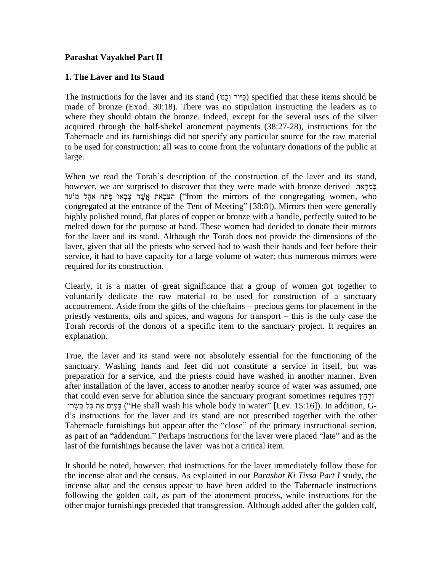## **Parashat Vayakhel Part II**

### **1. The Laver and Its Stand**

The instructions for the laver and its stand ( $\gamma$ ןכ $\gamma$ ) specified that these items should be made of bronze (Exod. 30:18). There was no stipulation instructing the leaders as to where they should obtain the bronze. Indeed, except for the several uses of the silver acquired through the half-shekel atonement payments (38:27-28), instructions for the Tabernacle and its furnishings did not specify any particular source for the raw material to be used for construction; all was to come from the voluntary donations of the public at large.

When we read the Torah's description of the construction of the laver and its stand, Form we read the Torah's description of the construction of the laver and its stand,<br>however, we are surprised to discover that they were made with bronze derived בְּמֵרְאת i we read the Torah's description of the construction of the laver and its stand,<br>ver, we are surprised to discover that they were made with bronze derived בְּמַרְאת אָקָי<br>הַצּבְאת אֱשֶׁר צָּבְאוּ פֶּתַח אהֶל (''from the הַצּבְאת אֲשֶׁר צָּבְאוּ פֶּתַח אקָל מוֹעֵד ("from the mirrors of the congregating women, who congregated at the entrance of the Tent of Meeting" [38:8]). Mirrors then were generally highly polished round, flat plates of copper or bronze with a handle, perfectly suited to be melted down for the purpose at hand. These women had decided to donate their mirrors for the laver and its stand. Although the Torah does not provide the dimensions of the laver, given that all the priests who served had to wash their hands and feet before their service, it had to have capacity for a large volume of water; thus numerous mirrors were required for its construction.

Clearly, it is a matter of great significance that a group of women got together to voluntarily dedicate the raw material to be used for construction of a sanctuary Clearly, it is a matter of great significance that a group of women got together to voluntarily dedicate the raw material to be used for construction of a sanctuary accoutrement. Aside from the gifts of the chieftains – pr voluntarily dedicate the raw material to be used for construction of a sanctuary accoutrement. Aside from the gifts of the chieftains – precious gems for placement in the priestly vestments, oils and spices, and wagons for Torah records of the donors of a specific item to the sanctuary project. It requires an explanation.

True, the laver and its stand were not absolutely essential for the functioning of the sanctuary. Washing hands and feet did not constitute a service in itself, but was preparation for a service, and the priests could have washed in another manner. Even<br>after installation of the laver, access to another nearby source of water was assumed, one<br>price that could even serve for ablution sinc after installation of the laver, access to another nearby source of water was assumed, one<br>that could even serve for ablution since the sanctuary program sometimes requires יָּבְמֵיִם אֶת כָּל בְּשֶׂרוֹ that could even serve for ablution since the sanctuary program sometimes requires יְרָחֵץ;<br>בַּמַּיִם אֶת כָּל בְּשָׂרוֹ (He shall wash his whole body in water" [Lev. 15:16]). In addition, G-<br>d's instructions for the laver בּמֵיִם אֶת כָּל בְּשָׂרוֹ (He shall wash his whole body in water" [Lev. 15:16]). In addition, G-d's instructions for the laver and its stand are not prescribed together with the other Tabernacle furnishings but appear af Tabernacle furnishings but appear after the "close" of the primary instructional section, as part of an "addendum." Perhaps instructions for the laver were placed "late" and as the last of the furnishings because the laver was not a critical item.

It should be noted, however, that instructions for the laver immediately follow those for the incense altar and the census. As explained in our *Parashat Ki Tissa Part I* study, the incense altar and the census appear to have been added to the Tabernacle instructions following the golden calf, as part of the atonement process, while instructions for the other major furnishings preceded that transgression. Although added after the golden calf,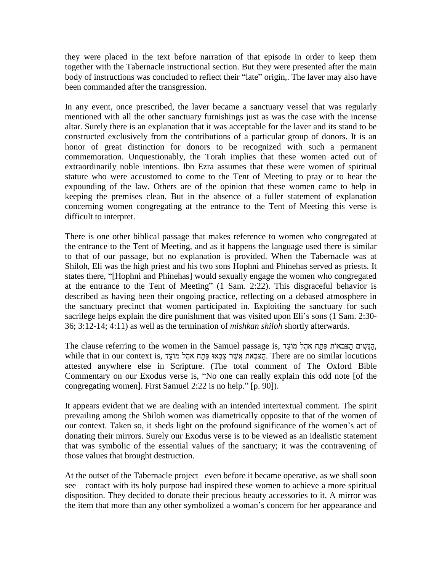they were placed in the text before narration of that episode in order to keep them together with the Tabernacle instructional section. But they were presented after the main body of instructions was concluded to reflect t together with the Tabernacle instructional section. But they were presented after the main been commanded after the transgression.

In any event, once prescribed, the laver became a sanctuary vessel that was regularly mentioned with all the other sanctuary furnishings just as was the case with the incense altar. Surely there is an explanation that it was acceptable for the laver and its stand to be constructed exclusively from the contributions of a particular group of donors. It is an honor of great distinction for donors to be recognized with such a permanent commemoration. Unquestionably, the Torah implies that these women acted out of extraordinarily noble intentions. Ibn Ezra assumes that these were women of spiritual stature who were accustomed to come to the Tent of Meeting to pray or to hear the expounding of the law. Others are of the opinion that these women came to help in keeping the premises clean. But in the absence of a fuller statement of explanation concerning women congregating at the entrance to the Tent of Meeting this verse is difficult to interpret.

There is one other biblical passage that makes reference to women who congregated at the entrance to the Tent of Meeting, and as it happens the language used there is similar to that of our passage, but no explanation is provided. When the Tabernacle was at Shiloh, Eli was the high priest and his two sons Hophni and Phinehas served as priests. It to that of our passage, but no explanation is provided. When the Tabernacle was at Shiloh, Eli was the high priest and his two sons Hophni and Phinehas served as priests. It states there, "[Hophni and Phinehas] would sexua states there, "[Hophni and Phinehas] would sexually engage the women who congregated at the entrance to the Tent of Meeting" (1 Sam. 2:22). This disgraceful behavior is described as having been their ongoing practice, reflecting on a debased atmosphere in the sanctuary precinct that women participated in. Exploiting the sanctuary for such described as having been their ongoing practice, reflecting on a debased atmosphere in<br>the sanctuary precinct that women participated in. Exploiting the sanctuary for such<br>sacrilege helps explain the dire punishment that w 36; 3:12-14; 4:11) as well as the termination of *mishkan shiloh* shortly afterwards.

The clause referring to the women in the Samuel passage is, הגשׁים הצבְאוֹת פֶּתַח אַהֶל מוֹעֹד, while that in our context is, קצבאו פּתַח אקל מוֹעֵד, There are no similar locutions attested anywhere else in Scripture. (The total comment of The Oxford Bible הַצּבְאת אֲשֶׁר צָבְאוּ פֶּחַח אֹהֶל מוֹעֵד, There are no similar locutions<br>attested anywhere else in Scripture. (The total comment of The Oxford Bible<br>Commentary on our Exodus verse is, ''No one can really explain this o attested anywhere else in Scripture. (The total comment of Commentary on our Exodus verse is, "No one can really explaint congregating women]. First Samuel 2:22 is no help." [p. 90]).

It appears evident that we are dealing with an intended intertextual comment. The spirit prevailing among the Shiloh women was diametrically opposite to that of the women of It appears evident that we are dealing with an intended intertextual comment. The spirit<br>prevailing among the Shiloh women was diametrically opposite to that of the women of<br>our context. Taken so, it sheds light on the pro donating their mirrors. Surely our Exodus verse is to be viewed as an idealistic statement that was symbolic of the essential values of the sanctuary; it was the contravening of those values that brought destruction. those values that brought destruction.<br>At the outset of the Tabernacle project –even before it became operative, as we shall soon

At the outset of the Tabernacle project –even before it became operative, as we shall soon see – contact with its holy purpose had inspired these women to achieve a more spiritual disposition. They decided to donate their precious beauty accessories to it. A mirror was see – contact with its holy purpose had inspired these women to achieve a more spiritual disposition. They decided to donate their precious beauty accessories to it. A mirror was the item that more than any other symbolize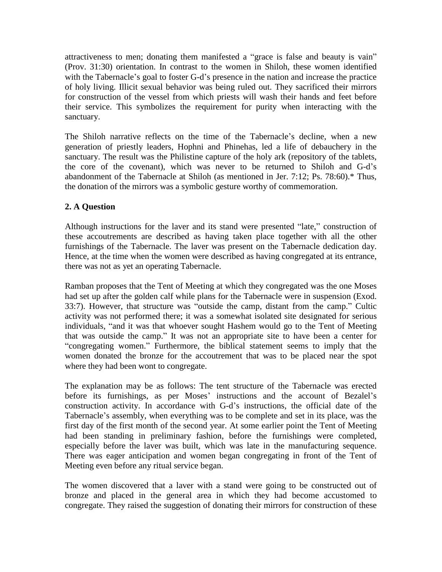attractiveness to men; donating them manifested a "grace is false and beauty is vain" (Prov. 31:30) orientation. In contrast to the women in Shiloh, these women identified attractiveness to men; donating them manifested a "grace is false and beauty is vain"<br>(Prov. 31:30) orientation. In contrast to the women in Shiloh, these women identified<br>with the Tabernacle's goal to foster G-d's presenc of holy living. Illicit sexual behavior was being ruled out. They sacrificed their mirrors for construction of the vessel from which priests will wash their hands and feet before their service. This symbolizes the requirement for purity when interacting with the sanctuary.

The Shiloh narrative reflects on the time of the Tabernacle's decline, when a new generation of priestly leaders, Hophni and Phinehas, led a life of debauchery in the sanctuary. The result was the Philistine capture of the holy ark (repository of the tablets, generation of priestly leaders, Hophni and Phinehas, led a life of debauchery in the sanctuary. The result was the Philistine capture of the holy ark (repository of the tablets, the core of the covenant), which was never t abandonment of the Tabernacle at Shiloh (as mentioned in Jer. 7:12; Ps. 78:60).\* Thus, the donation of the mirrors was a symbolic gesture worthy of commemoration.

# **2. A Question**

Although instructions for the laver and its stand were presented "late," construction of these accoutrements are described as having taken place together with all the other furnishings of the Tabernacle. The laver was present on the Tabernacle dedication day. Hence, at the time when the women were described as having congregated at its entrance, there was not as yet an operating Tabernacle.

Ramban proposes that the Tent of Meeting at which they congregated was the one Moses had set up after the golden calf while plans for the Tabernacle were in suspension (Exod. Ramban proposes that the Tent of Meeting at which they congregated was the one Moses<br>had set up after the golden calf while plans for the Tabernacle were in suspension (Exod.<br>33:7). However, that structure was "outside the activity was not performed there; it was a somewhat isolated site designated for serious 33:7). However, that structure was "outside the camp, distant from the camp." Cultic activity was not performed there; it was a somewhat isolated site designated for serious individuals, "and it was that whoever sought Has activity was not performed there; it was a somewhat isolated site designated for serious<br>individuals, "and it was that whoever sought Hashem would go to the Tent of Meeting<br>that was outside the camp." It was not an appropr ndividuals, "and it was that whoever sought Hashem would go to the Tent of Meeting<br>nat was outside the camp." It was not an appropriate site to have been a center for<br>congregating women." Furthermore, the biblical statemen women donated the bronze for the accoutrement that was to be placed near the spot where they had been wont to congregate.

The explanation may be as follows: The tent structure of the Tabernacle was erected The explanation may be as follows: The tent structure of the Tabernacle was erected<br>before its furnishings, as per Moses' instructions and the account of Bezalel's The explanation may be as follows: The tent structure of the Tabernacle was erected before its furnishings, as per Moses' instructions and the account of Bezalel's construction activity. In accordance with G-d's instructio before its furnishings, as per Moses' instructions and the account of Bezalel's construction activity. In accordance with G-d's instructions, the official date of the Tabernacle's assembly, when everything was to be comple first day of the first month of the second year. At some earlier point the Tent of Meeting had been standing in preliminary fashion, before the furnishings were completed, especially before the laver was built, which was late in the manufacturing sequence. There was eager anticipation and women began congregating in front of the Tent of Meeting even before any ritual service began.

The women discovered that a laver with a stand were going to be constructed out of bronze and placed in the general area in which they had become accustomed to congregate. They raised the suggestion of donating their mirrors for construction of these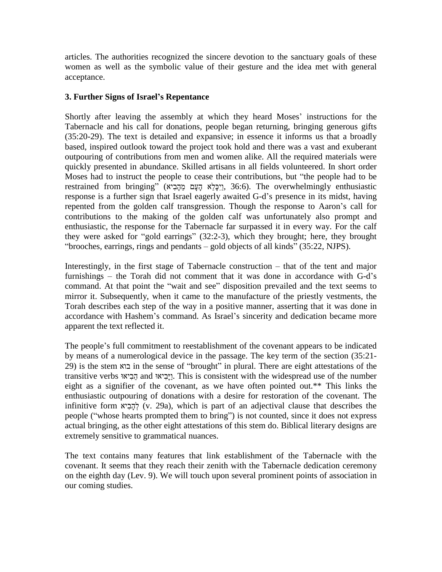articles. The authorities recognized the sincere devotion to the sanctuary goals of these women as well as the symbolic value of their gesture and the idea met with general acceptance.

## **3. Further Signs of Israelí<sup>s</sup> Repentance**

Shortly after leaving the assembly at which they heard Moses' instructions for the Tabernacle and his call for donations, people began returning, bringing generous gifts (35:20-29). The text is detailed and expansive; in essence it informs us that a broadly based, inspired outlook toward the project took hold and there was a vast and exuberant outpouring of contributions from men and women alike. All the required materials were quickly presented in abundance. Skilled artisans in all fields volunteered. In short order outpouring of contributions from men and women alike. All the required materials were<br>quickly presented in abundance. Skilled artisans in all fields volunteered. In short order<br>Moses had to instruct the people to cease the quickly presented in abundance. Skilled artisans in all fields volunteered. In short order<br>Moses had to instruct the people to cease their contributions, but "the people had to be<br>restrained from bringing" (יִפְלֵא קָעָם response is a further sign that Israel eagerly awaited G-d's presence in its midst, having<br>response is a further sign that Israel eagerly awaited G-d's presence in its midst, having restrained from bringing" (בְּכָא הָעָם מֵהָבִיא), 36:6). The overwhelmingly enthusiastic<br>response is a further sign that Israel eagerly awaited G-d's presence in its midst, having<br>repented from the golden calf transgress contributions to the making of the golden calf was unfortunately also prompt and enthusiastic, the response for the Tabernacle far surpassed it in every way. For the calf contributions to the making of the golden calf was unfortunately also prompt and enthusiastic, the response for the Tabernacle far surpassed it in every way. For the calf they were asked for "gold earrings" (32:2-3), which nthusiastic, the response for the Tabernacle far surpassed it in every way. For the c<br>ney were asked for "gold earrings" (32:2-3), which they brought; here, they broug<br>brooches, earrings, rings and pendants – gold objects "brooches, earrings, rings and pendants – gold objects of all kinds"  $(35:22, NJPS)$ .<br>Interestingly, in the first stage of Tabernacle construction – that of the tent and major

Interestingly, in the first stage of Tabernacle construction – that of the tent and major<br>furnishings – the Torah did not comment that it was done in accordance with G-d's Interestingly, in the first stage of Tabernacle construction – that of the tent and major<br>furnishings – the Torah did not comment that it was done in accordance with G-d's<br>command. At that point the "wait and see" disposit mirror it. Subsequently, when it came to the manufacture of the priestly vestments, the Torah describes each step of the way in a positive manner, asserting that it was done in mirror it. Subsequently, when it came to the manufacture of the priestly vestments, the Torah describes each step of the way in a positive manner, asserting that it was done in accordance with Hashem's command. As Israel's apparent the text reflected it.

The people's full commitment to reestablishment of the covenant appears to be indicated by means of a numerological device in the passage. The key term of the section (35:21- The people's full commitment to reestablishment of the covenant appears to be indicated<br>by means of a numerological device in the passage. The key term of the section (35:21-<br>29) is the stem ≍im the sense of "brought" in transitive verbs בא in the passage. The key term of the section (35:21-<br>בין in the sense of "brought" in plural. There are eight attestations of the transitive verbs בְּיָאוּ and הֲיָבִיאוּ in is consistent with the wides eight as a signifier of the covenant, as we have often pointed out.\*\* This links the enthusiastic outpouring of donations with a desire for restoration of the covenant. The infinitive form  $\zeta$  ( $\zeta$ , 29a), which is par enthusiastic outpouring of donations with a desire for restoration of the covenant. The infinitive form  $\forall$ יהָבִיא (v. 29a), which is part of an adjectival clause that describes the people ("whose hearts prompted them to bring") is not counted, since it does not express actual bringing, as the other eight attestations of this stem do. Biblical literary designs are extremely sensitive to grammatical nuances.

The text contains many features that link establishment of the Tabernacle with the covenant. It seems that they reach their zenith with the Tabernacle dedication ceremony on the eighth day (Lev. 9). We will touch upon several prominent points of association in our coming studies.